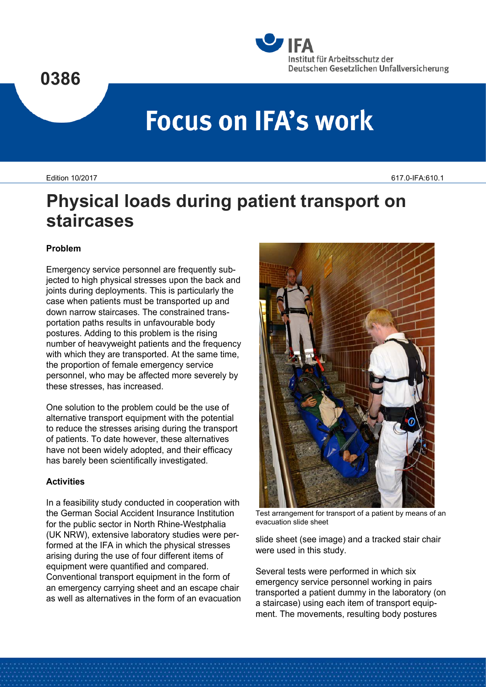



# **Focus on IFA's work**

Edition 10/2017 617.0-IFA:610.1

# **Physical loads during patient transport on staircases**

## **Problem**

Emergency service personnel are frequently subjected to high physical stresses upon the back and joints during deployments. This is particularly the case when patients must be transported up and down narrow staircases. The constrained transportation paths results in unfavourable body postures. Adding to this problem is the rising number of heavyweight patients and the frequency with which they are transported. At the same time, the proportion of female emergency service personnel, who may be affected more severely by these stresses, has increased.

One solution to the problem could be the use of alternative transport equipment with the potential to reduce the stresses arising during the transport of patients. To date however, these alternatives have not been widely adopted, and their efficacy has barely been scientifically investigated.

### **Activities**

In a feasibility study conducted in cooperation with the German Social Accident Insurance Institution for the public sector in North Rhine-Westphalia (UK NRW), extensive laboratory studies were performed at the IFA in which the physical stresses arising during the use of four different items of equipment were quantified and compared. Conventional transport equipment in the form of an emergency carrying sheet and an escape chair as well as alternatives in the form of an evacuation



Test arrangement for transport of a patient by means of an evacuation slide sheet

slide sheet (see image) and a tracked stair chair were used in this study.

Several tests were performed in which six emergency service personnel working in pairs transported a patient dummy in the laboratory (on a staircase) using each item of transport equipment. The movements, resulting body postures